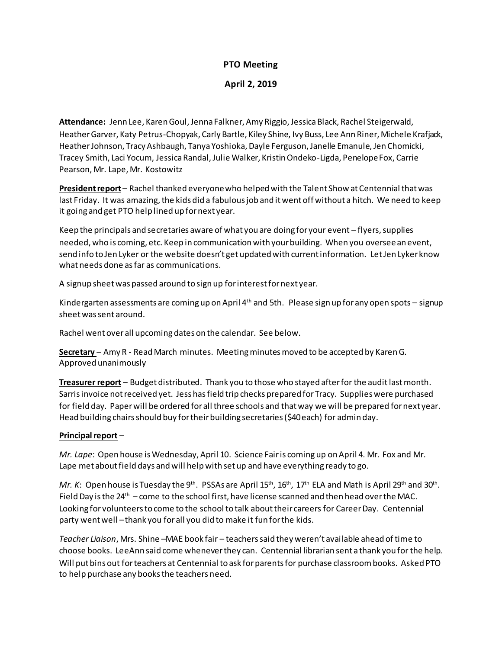# **PTO Meeting**

# **April 2, 2019**

**Attendance:** Jenn Lee, Karen Goul, Jenna Falkner, Amy Riggio, Jessica Black, Rachel Steigerwald, Heather Garver, Katy Petrus-Chopyak, Carly Bartle, Kiley Shine, Ivy Buss, Lee Ann Riner, Michele Krafjack, Heather Johnson, Tracy Ashbaugh, Tanya Yoshioka, Dayle Ferguson, Janelle Emanule, Jen Chomicki, Tracey Smith, Laci Yocum, Jessica Randal, Julie Walker, Kristin Ondeko-Ligda, Penelope Fox, Carrie Pearson, Mr. Lape, Mr. Kostowitz

**President report** – Rachel thanked everyone who helped with the Talent Show at Centennial that was last Friday. It was amazing, the kids did a fabulous job and it went off without a hitch. We need to keep it going and get PTO help lined up for next year.

Keep the principals and secretaries aware of what you are doing for your event – flyers, supplies needed, who is coming, etc. Keep in communication with your building. When you overseean event, send info to Jen Lyker or the website doesn't get updated with current information. Let Jen Lyker know what needs done as far as communications.

A signup sheet was passed around to sign up for interest for next year.

Kindergarten assessments are coming up on April  $4<sup>th</sup>$  and 5th. Please sign up for any open spots – signup sheet was sent around.

Rachel went over all upcoming dates on the calendar. See below.

**Secretary** – Amy R - Read March minutes. Meeting minutesmoved to be accepted by Karen G. Approved unanimously

**Treasurer report** – Budget distributed. Thank you to those who stayed after for the auditlast month. Sarris invoice not received yet. Jess has field trip checks prepared for Tracy. Supplies were purchased for field day. Paper will be ordered for all three schools and that way we will be prepared for next year. Head building chairs should buy for their building secretaries (\$40 each) for admin day.

# **Principal report** –

*Mr. Lape*: Open house is Wednesday, April 10. Science Fair is coming up on April 4. Mr. Fox and Mr. Lape met about field days and will help with set up and have everything ready to go.

Mr. K: Open house is Tuesday the 9<sup>th</sup>. PSSAs are April 15<sup>th</sup>, 16<sup>th</sup>, 17<sup>th</sup> ELA and Math is April 29<sup>th</sup> and 30<sup>th</sup>. Field Day is the  $24<sup>th</sup>$  – come to the school first, have license scanned and then head over the MAC. Looking for volunteers to come to the school to talk about their careers for Career Day. Centennial party went well –thank you for all you did to make it fun for the kids.

*Teacher Liaison*, Mrs. Shine –MAE book fair – teachers said they weren't available ahead of time to choose books. LeeAnn said come whenever they can. Centennial librarian sent a thank you for the help. Will put bins out for teachers at Centennial to ask for parents for purchase classroom books. Asked PTO to help purchase any books the teachers need.